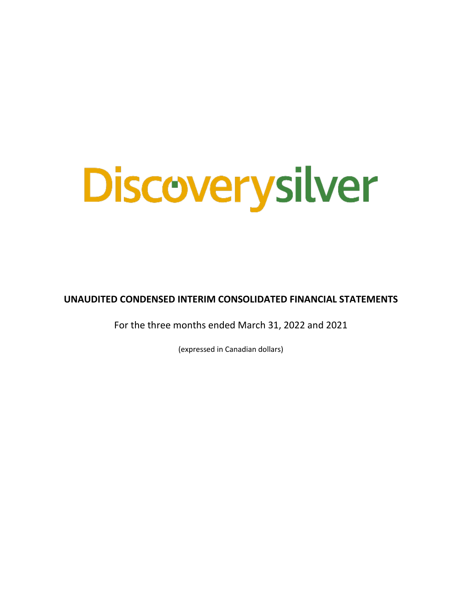# **Discoverysilver**

**UNAUDITED CONDENSED INTERIM CONSOLIDATED FINANCIAL STATEMENTS**

For the three months ended March 31, 2022 and 2021

(expressed in Canadian dollars)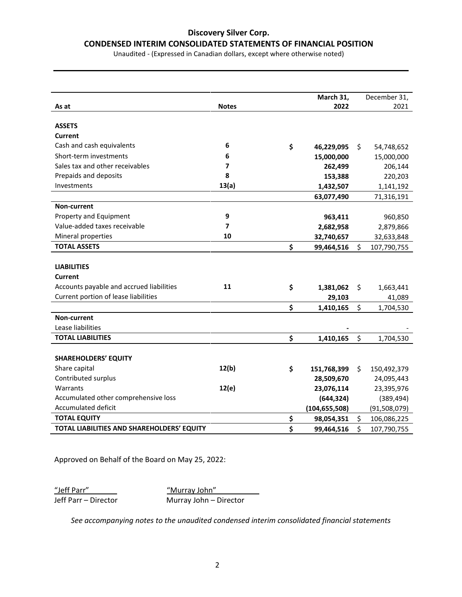#### **CONDENSED INTERIM CONSOLIDATED STATEMENTS OF FINANCIAL POSITION**

Unaudited - (Expressed in Canadian dollars, except where otherwise noted)

|                                            |              | March 31,         | December 31,      |
|--------------------------------------------|--------------|-------------------|-------------------|
| As at                                      | <b>Notes</b> | 2022              | 2021              |
|                                            |              |                   |                   |
| <b>ASSETS</b>                              |              |                   |                   |
| Current                                    |              |                   |                   |
| Cash and cash equivalents                  | 6            | \$<br>46,229,095  | \$<br>54,748,652  |
| Short-term investments                     | 6            | 15,000,000        | 15,000,000        |
| Sales tax and other receivables            | 7            | 262,499           | 206,144           |
| Prepaids and deposits                      | 8            | 153,388           | 220,203           |
| Investments                                | 13(a)        | 1,432,507         | 1,141,192         |
|                                            |              | 63,077,490        | 71,316,191        |
| Non-current                                |              |                   |                   |
| Property and Equipment                     | 9            | 963,411           | 960,850           |
| Value-added taxes receivable               | 7            | 2,682,958         | 2,879,866         |
| Mineral properties                         | 10           | 32,740,657        | 32,633,848        |
| <b>TOTAL ASSETS</b>                        |              | \$<br>99,464,516  | \$<br>107,790,755 |
|                                            |              |                   |                   |
| <b>LIABILITIES</b>                         |              |                   |                   |
| <b>Current</b>                             |              |                   |                   |
| Accounts payable and accrued liabilities   | 11           | \$<br>1,381,062   | \$<br>1,663,441   |
| Current portion of lease liabilities       |              | 29,103            | 41,089            |
|                                            |              | \$<br>1,410,165   | \$<br>1,704,530   |
| Non-current                                |              |                   |                   |
| Lease liabilities                          |              |                   |                   |
| <b>TOTAL LIABILITIES</b>                   |              | \$<br>1,410,165   | \$<br>1,704,530   |
|                                            |              |                   |                   |
| <b>SHAREHOLDERS' EQUITY</b>                |              |                   |                   |
| Share capital                              | 12(b)        | \$<br>151,768,399 | \$<br>150,492,379 |
| Contributed surplus                        |              | 28,509,670        | 24,095,443        |
| Warrants                                   | 12(e)        | 23,076,114        | 23,395,976        |
| Accumulated other comprehensive loss       |              | (644, 324)        | (389, 494)        |
| Accumulated deficit                        |              | (104, 655, 508)   | (91,508,079)      |
| <b>TOTAL EQUITY</b>                        |              | \$<br>98,054,351  | \$<br>106,086,225 |
| TOTAL LIABILITIES AND SHAREHOLDERS' EQUITY |              | \$<br>99,464,516  | \$<br>107,790,755 |

Approved on Behalf of the Board on May 25, 2022:

"Jeff Parr" "Murray John"

Jeff Parr – Director Murray John – Director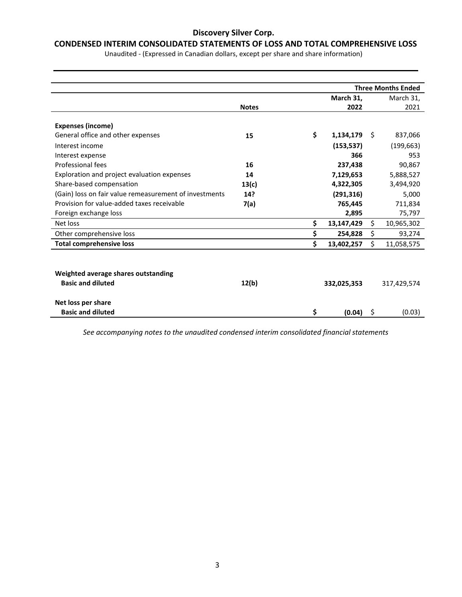#### **CONDENSED INTERIM CONSOLIDATED STATEMENTS OF LOSS AND TOTAL COMPREHENSIVE LOSS**

Unaudited - (Expressed in Canadian dollars, except per share and share information)

|                                                        |              |                  |    | <b>Three Months Ended</b> |
|--------------------------------------------------------|--------------|------------------|----|---------------------------|
|                                                        |              | March 31,        |    | March 31,                 |
|                                                        | <b>Notes</b> | 2022             |    | 2021                      |
|                                                        |              |                  |    |                           |
| <b>Expenses (income)</b>                               |              |                  |    |                           |
| General office and other expenses                      | 15           | \$<br>1,134,179  | Ŝ. | 837,066                   |
| Interest income                                        |              | (153, 537)       |    | (199, 663)                |
| Interest expense                                       |              | 366              |    | 953                       |
| Professional fees                                      | 16           | 237,438          |    | 90,867                    |
| Exploration and project evaluation expenses            | 14           | 7,129,653        |    | 5,888,527                 |
| Share-based compensation                               | 13(c)        | 4,322,305        |    | 3,494,920                 |
| (Gain) loss on fair value remeasurement of investments | 14?          | (291, 316)       |    | 5,000                     |
| Provision for value-added taxes receivable             | 7(a)         | 765,445          |    | 711,834                   |
| Foreign exchange loss                                  |              | 2,895            |    | 75,797                    |
| Net loss                                               |              | \$<br>13,147,429 | \$ | 10,965,302                |
| Other comprehensive loss                               |              | \$<br>254,828    | \$ | 93,274                    |
| <b>Total comprehensive loss</b>                        |              | \$<br>13,402,257 | \$ | 11,058,575                |
|                                                        |              |                  |    |                           |
|                                                        |              |                  |    |                           |
| Weighted average shares outstanding                    |              |                  |    |                           |
| <b>Basic and diluted</b>                               | 12(b)        | 332,025,353      |    | 317,429,574               |
|                                                        |              |                  |    |                           |
| Net loss per share                                     |              |                  |    |                           |
| <b>Basic and diluted</b>                               |              | \$<br>(0.04)     | \$ | (0.03)                    |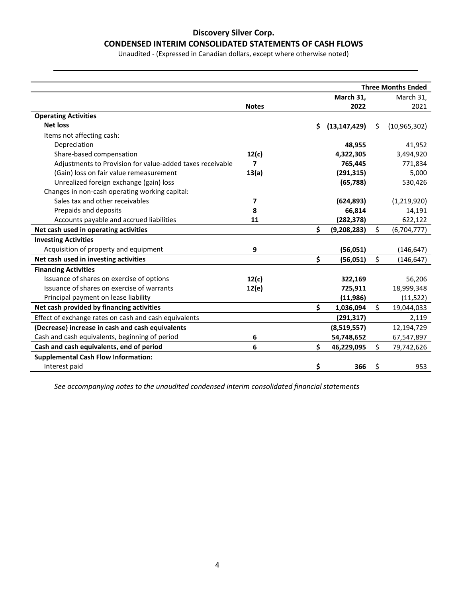#### **CONDENSED INTERIM CONSOLIDATED STATEMENTS OF CASH FLOWS**

Unaudited - (Expressed in Canadian dollars, except where otherwise noted)

|                                                           |                         | <b>Three Months Ended</b> |                |    |                |  |  |
|-----------------------------------------------------------|-------------------------|---------------------------|----------------|----|----------------|--|--|
|                                                           |                         |                           | March 31,      |    | March 31,      |  |  |
|                                                           | <b>Notes</b>            |                           | 2022           |    | 2021           |  |  |
| <b>Operating Activities</b>                               |                         |                           |                |    |                |  |  |
| <b>Net loss</b>                                           |                         | \$                        | (13, 147, 429) | Ŝ. | (10, 965, 302) |  |  |
| Items not affecting cash:                                 |                         |                           |                |    |                |  |  |
| Depreciation                                              |                         |                           | 48,955         |    | 41,952         |  |  |
| Share-based compensation                                  | 12(c)                   |                           | 4,322,305      |    | 3,494,920      |  |  |
| Adjustments to Provision for value-added taxes receivable | $\overline{\mathbf{z}}$ |                           | 765,445        |    | 771,834        |  |  |
| (Gain) loss on fair value remeasurement                   | 13(a)                   |                           | (291, 315)     |    | 5,000          |  |  |
| Unrealized foreign exchange (gain) loss                   |                         |                           | (65, 788)      |    | 530,426        |  |  |
| Changes in non-cash operating working capital:            |                         |                           |                |    |                |  |  |
| Sales tax and other receivables                           | 7                       |                           | (624, 893)     |    | (1,219,920)    |  |  |
| Prepaids and deposits                                     | 8                       |                           | 66,814         |    | 14,191         |  |  |
| Accounts payable and accrued liabilities                  | 11                      |                           | (282, 378)     |    | 622,122        |  |  |
| Net cash used in operating activities                     |                         | Ś                         | (9, 208, 283)  | \$ | (6,704,777)    |  |  |
| <b>Investing Activities</b>                               |                         |                           |                |    |                |  |  |
| Acquisition of property and equipment                     | 9                       |                           | (56,051)       |    | (146, 647)     |  |  |
| Net cash used in investing activities                     |                         | \$                        | (56,051)       | \$ | (146,647)      |  |  |
| <b>Financing Activities</b>                               |                         |                           |                |    |                |  |  |
| Issuance of shares on exercise of options                 | 12(c)                   |                           | 322,169        |    | 56,206         |  |  |
| Issuance of shares on exercise of warrants                | 12(e)                   |                           | 725,911        |    | 18,999,348     |  |  |
| Principal payment on lease liability                      |                         |                           | (11, 986)      |    | (11, 522)      |  |  |
| Net cash provided by financing activities                 |                         | \$                        | 1,036,094      | \$ | 19,044,033     |  |  |
| Effect of exchange rates on cash and cash equivalents     |                         |                           | (291, 317)     |    | 2,119          |  |  |
| (Decrease) increase in cash and cash equivalents          |                         |                           | (8,519,557)    |    | 12,194,729     |  |  |
| Cash and cash equivalents, beginning of period            | 6                       |                           | 54,748,652     |    | 67,547,897     |  |  |
| Cash and cash equivalents, end of period                  | 6                       | \$                        | 46,229,095     | \$ | 79,742,626     |  |  |
| <b>Supplemental Cash Flow Information:</b>                |                         |                           |                |    |                |  |  |
| Interest paid                                             |                         | \$                        | 366            | \$ | 953            |  |  |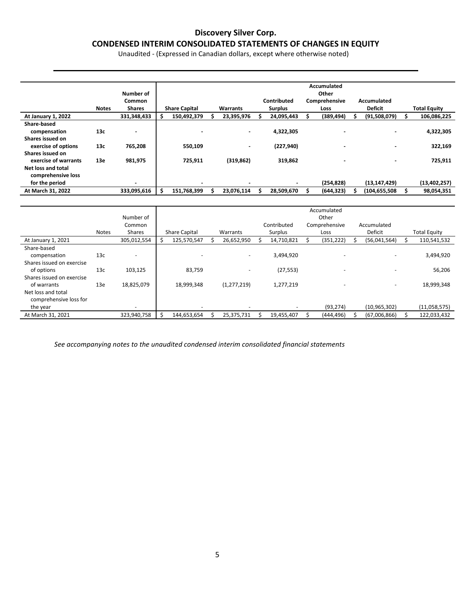#### **CONDENSED INTERIM CONSOLIDATED STATEMENTS OF CHANGES IN EQUITY**

Unaudited - (Expressed in Canadian dollars, except where otherwise noted)

|                      |              |                          |   |                      |                          |   |                | Accumulated   |                          |                     |
|----------------------|--------------|--------------------------|---|----------------------|--------------------------|---|----------------|---------------|--------------------------|---------------------|
|                      |              | Number of                |   |                      |                          |   |                | Other         |                          |                     |
|                      |              | Common                   |   |                      |                          |   | Contributed    | Comprehensive | Accumulated              |                     |
|                      | <b>Notes</b> | <b>Shares</b>            |   | <b>Share Capital</b> | Warrants                 |   | <b>Surplus</b> | Loss          | <b>Deficit</b>           | <b>Total Equity</b> |
| At January 1, 2022   |              | 331,348,433              |   | 150,492,379          | 23,395,976               | s | 24,095,443     | (389, 494)    | (91,508,079)             | 106,086,225         |
| Share-based          |              |                          |   |                      |                          |   |                |               |                          |                     |
| compensation         | 13c          | $\overline{\phantom{0}}$ |   |                      | $\sim$                   |   | 4,322,305      |               | $\blacksquare$           | 4,322,305           |
| Shares issued on     |              |                          |   |                      |                          |   |                |               |                          |                     |
| exercise of options  | 13c          | 765,208                  |   | 550,109              | $\overline{\phantom{0}}$ |   | (227, 940)     |               | $\overline{\phantom{0}}$ | 322,169             |
| Shares issued on     |              |                          |   |                      |                          |   |                |               |                          |                     |
| exercise of warrants | 13e          | 981,975                  |   | 725,911              | (319, 862)               |   | 319,862        |               | $\blacksquare$           | 725,911             |
| Net loss and total   |              |                          |   |                      |                          |   |                |               |                          |                     |
| comprehensive loss   |              |                          |   |                      |                          |   |                |               |                          |                     |
| for the period       |              |                          |   |                      |                          |   |                | (254, 828)    | (13, 147, 429)           | (13, 402, 257)      |
| At March 31, 2022    |              | 333,095,616              | Ś | 151,768,399          | 23,076,114               |   | 28,509,670     | (644, 323)    | (104,655,508             | 98,054,351          |

|                           |                 | Number of   | Accumulated<br>Other     |  |                          |  |             |  |                          |  |                          |  |                     |
|---------------------------|-----------------|-------------|--------------------------|--|--------------------------|--|-------------|--|--------------------------|--|--------------------------|--|---------------------|
|                           |                 | Common      |                          |  |                          |  | Contributed |  | Comprehensive            |  | Accumulated              |  |                     |
|                           | <b>Notes</b>    | Shares      | <b>Share Capital</b>     |  | Warrants                 |  | Surplus     |  | Loss                     |  | Deficit                  |  | <b>Total Equity</b> |
| At January 1, 2021        |                 | 305,012,554 | 125,570,547              |  | 26,652,950               |  | 14,710,821  |  | (351, 222)               |  | (56,041,564)             |  | 110,541,532         |
| Share-based               |                 |             |                          |  |                          |  |             |  |                          |  |                          |  |                     |
| compensation              | 13 <sub>c</sub> |             |                          |  | $\overline{\phantom{a}}$ |  | 3,494,920   |  | $\overline{\phantom{0}}$ |  |                          |  | 3,494,920           |
| Shares issued on exercise |                 |             |                          |  |                          |  |             |  |                          |  |                          |  |                     |
| of options                | 13 <sub>c</sub> | 103,125     | 83,759                   |  | $\overline{\phantom{a}}$ |  | (27, 553)   |  |                          |  |                          |  | 56,206              |
| Shares issued on exercise |                 |             |                          |  |                          |  |             |  |                          |  |                          |  |                     |
| of warrants               | 13e             | 18,825,079  | 18,999,348               |  | (1, 277, 219)            |  | 1,277,219   |  |                          |  | $\overline{\phantom{a}}$ |  | 18,999,348          |
| Net loss and total        |                 |             |                          |  |                          |  |             |  |                          |  |                          |  |                     |
| comprehensive loss for    |                 |             |                          |  |                          |  |             |  |                          |  |                          |  |                     |
| the year                  |                 | -           | $\overline{\phantom{a}}$ |  | $\overline{\phantom{a}}$ |  |             |  | (93, 274)                |  | (10, 965, 302)           |  | (11,058,575)        |
| At March 31, 2021         |                 | 323,940,758 | 144,653,654              |  | 25,375,731               |  | 19,455,407  |  | (444, 496)               |  | (67,006,866)             |  | 122,033,432         |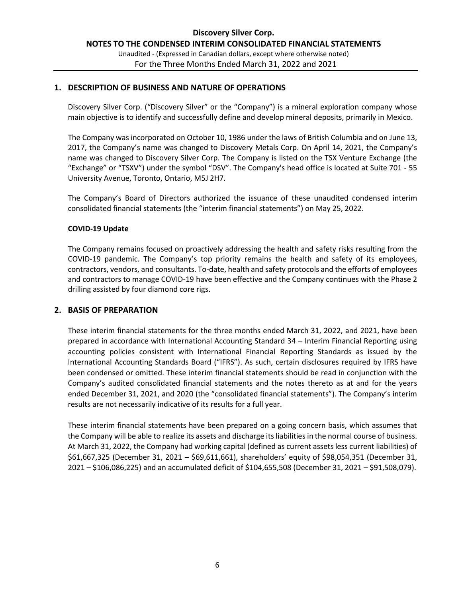#### **1. DESCRIPTION OF BUSINESS AND NATURE OF OPERATIONS**

Discovery Silver Corp. ("Discovery Silver" or the "Company") is a mineral exploration company whose main objective is to identify and successfully define and develop mineral deposits, primarily in Mexico.

The Company was incorporated on October 10, 1986 under the laws of British Columbia and on June 13, 2017, the Company's name was changed to Discovery Metals Corp. On April 14, 2021, the Company's name was changed to Discovery Silver Corp. The Company is listed on the TSX Venture Exchange (the "Exchange" or "TSXV") under the symbol "DSV". The Company's head office is located at Suite 701 - 55 University Avenue, Toronto, Ontario, M5J 2H7.

The Company's Board of Directors authorized the issuance of these unaudited condensed interim consolidated financial statements (the "interim financial statements") on May 25, 2022.

#### **COVID-19 Update**

The Company remains focused on proactively addressing the health and safety risks resulting from the COVID-19 pandemic. The Company's top priority remains the health and safety of its employees, contractors, vendors, and consultants. To-date, health and safety protocols and the efforts of employees and contractors to manage COVID-19 have been effective and the Company continues with the Phase 2 drilling assisted by four diamond core rigs.

#### **2. BASIS OF PREPARATION**

These interim financial statements for the three months ended March 31, 2022, and 2021, have been prepared in accordance with International Accounting Standard 34 – Interim Financial Reporting using accounting policies consistent with International Financial Reporting Standards as issued by the International Accounting Standards Board ("IFRS"). As such, certain disclosures required by IFRS have been condensed or omitted. These interim financial statements should be read in conjunction with the Company's audited consolidated financial statements and the notes thereto as at and for the years ended December 31, 2021, and 2020 (the "consolidated financial statements"). The Company's interim results are not necessarily indicative of its results for a full year.

These interim financial statements have been prepared on a going concern basis, which assumes that the Company will be able to realize its assets and discharge its liabilities in the normal course of business. At March 31, 2022, the Company had working capital (defined as current assets less current liabilities) of \$61,667,325 (December 31, 2021 – \$69,611,661), shareholders' equity of \$98,054,351 (December 31, 2021 – \$106,086,225) and an accumulated deficit of \$104,655,508 (December 31, 2021 – \$91,508,079).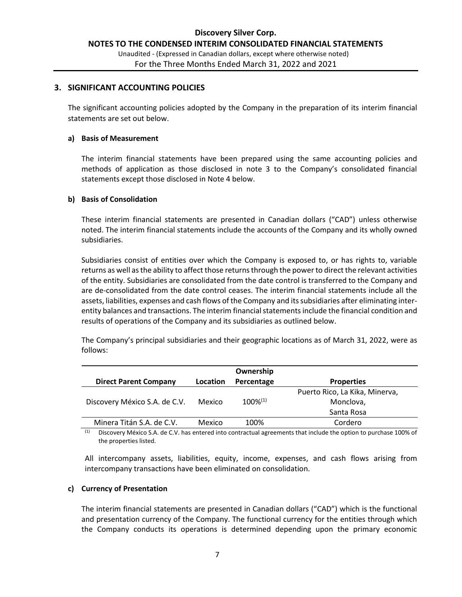#### **3. SIGNIFICANT ACCOUNTING POLICIES**

The significant accounting policies adopted by the Company in the preparation of its interim financial statements are set out below.

#### **a) Basis of Measurement**

The interim financial statements have been prepared using the same accounting policies and methods of application as those disclosed in note 3 to the Company's consolidated financial statements except those disclosed in Note 4 below.

#### **b) Basis of Consolidation**

These interim financial statements are presented in Canadian dollars ("CAD") unless otherwise noted. The interim financial statements include the accounts of the Company and its wholly owned subsidiaries.

Subsidiaries consist of entities over which the Company is exposed to, or has rights to, variable returns as well as the ability to affect those returns through the power to direct the relevant activities of the entity. Subsidiaries are consolidated from the date control is transferred to the Company and are de-consolidated from the date control ceases. The interim financial statements include all the assets, liabilities, expenses and cash flows of the Company and its subsidiaries after eliminating interentity balances and transactions. The interim financial statements include the financial condition and results of operations of the Company and its subsidiaries as outlined below.

The Company's principal subsidiaries and their geographic locations as of March 31, 2022, were as follows:

|                               |          | Ownership     |                                |
|-------------------------------|----------|---------------|--------------------------------|
| <b>Direct Parent Company</b>  | Location | Percentage    | <b>Properties</b>              |
|                               |          |               | Puerto Rico, La Kika, Minerva, |
| Discovery México S.A. de C.V. | Mexico   | $100\%^{(1)}$ | Monclova,                      |
|                               |          |               | Santa Rosa                     |
| Minera Titán S.A. de C.V.     | Mexico   | 100%          | Cordero                        |

 $(1)$  Discovery México S.A. de C.V. has entered into contractual agreements that include the option to purchase 100% of the properties listed.

All intercompany assets, liabilities, equity, income, expenses, and cash flows arising from intercompany transactions have been eliminated on consolidation.

#### **c) Currency of Presentation**

The interim financial statements are presented in Canadian dollars ("CAD") which is the functional and presentation currency of the Company. The functional currency for the entities through which the Company conducts its operations is determined depending upon the primary economic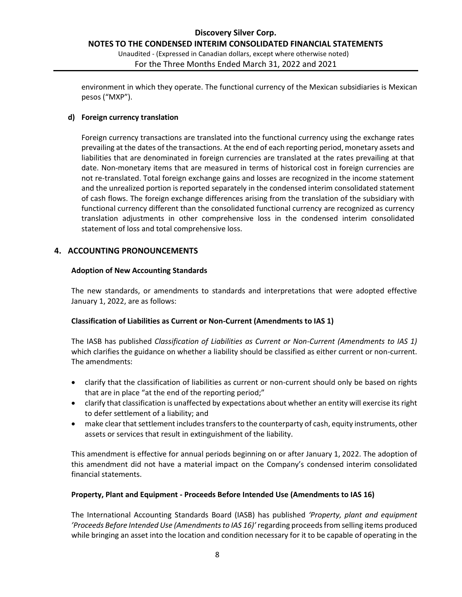Unaudited - (Expressed in Canadian dollars, except where otherwise noted) For the Three Months Ended March 31, 2022 and 2021

environment in which they operate. The functional currency of the Mexican subsidiaries is Mexican pesos ("MXP").

#### **d) Foreign currency translation**

Foreign currency transactions are translated into the functional currency using the exchange rates prevailing at the dates of the transactions. At the end of each reporting period, monetary assets and liabilities that are denominated in foreign currencies are translated at the rates prevailing at that date. Non-monetary items that are measured in terms of historical cost in foreign currencies are not re-translated. Total foreign exchange gains and losses are recognized in the income statement and the unrealized portion is reported separately in the condensed interim consolidated statement of cash flows. The foreign exchange differences arising from the translation of the subsidiary with functional currency different than the consolidated functional currency are recognized as currency translation adjustments in other comprehensive loss in the condensed interim consolidated statement of loss and total comprehensive loss.

#### **4. ACCOUNTING PRONOUNCEMENTS**

#### **Adoption of New Accounting Standards**

The new standards, or amendments to standards and interpretations that were adopted effective January 1, 2022, are as follows:

#### **Classification of Liabilities as Current or Non-Current (Amendments to IAS 1)**

The IASB has published *Classification of Liabilities as Current or Non-Current (Amendments to IAS 1)* which clarifies the guidance on whether a liability should be classified as either current or non-current. The amendments:

- clarify that the classification of liabilities as current or non-current should only be based on rights that are in place "at the end of the reporting period;"
- clarify that classification is unaffected by expectations about whether an entity will exercise its right to defer settlement of a liability; and
- make clear that settlement includes transfers to the counterparty of cash, equity instruments, other assets or services that result in extinguishment of the liability.

This amendment is effective for annual periods beginning on or after January 1, 2022. The adoption of this amendment did not have a material impact on the Company's condensed interim consolidated financial statements.

#### **Property, Plant and Equipment - Proceeds Before Intended Use (Amendments to IAS 16)**

The International Accounting Standards Board (IASB) has published *'Property, plant and equipment 'Proceeds Before Intended Use (Amendments to IAS 16)'* regarding proceeds from selling items produced while bringing an asset into the location and condition necessary for it to be capable of operating in the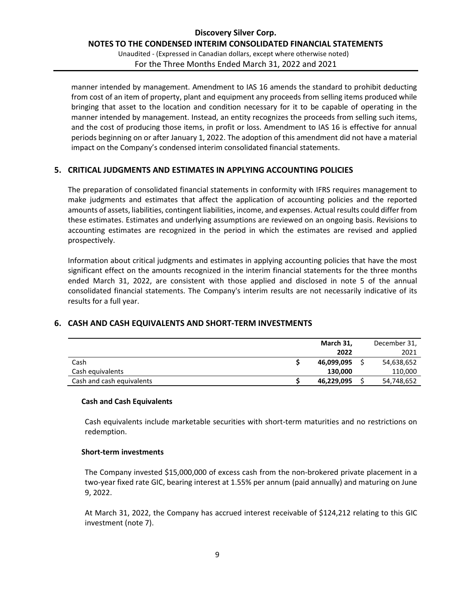#### **Discovery Silver Corp. NOTES TO THE CONDENSED INTERIM CONSOLIDATED FINANCIAL STATEMENTS** Unaudited - (Expressed in Canadian dollars, except where otherwise noted)

For the Three Months Ended March 31, 2022 and 2021

manner intended by management. Amendment to IAS 16 amends the standard to prohibit deducting from cost of an item of property, plant and equipment any proceeds from selling items produced while bringing that asset to the location and condition necessary for it to be capable of operating in the manner intended by management. Instead, an entity recognizes the proceeds from selling such items, and the cost of producing those items, in profit or loss. Amendment to IAS 16 is effective for annual periods beginning on or after January 1, 2022. The adoption of this amendment did not have a material impact on the Company's condensed interim consolidated financial statements.

#### **5. CRITICAL JUDGMENTS AND ESTIMATES IN APPLYING ACCOUNTING POLICIES**

The preparation of consolidated financial statements in conformity with IFRS requires management to make judgments and estimates that affect the application of accounting policies and the reported amounts of assets, liabilities, contingent liabilities, income, and expenses. Actual results could differ from these estimates. Estimates and underlying assumptions are reviewed on an ongoing basis. Revisions to accounting estimates are recognized in the period in which the estimates are revised and applied prospectively.

Information about critical judgments and estimates in applying accounting policies that have the most significant effect on the amounts recognized in the interim financial statements for the three months ended March 31, 2022, are consistent with those applied and disclosed in note 5 of the annual consolidated financial statements. The Company's interim results are not necessarily indicative of its results for a full year.

#### **6. CASH AND CASH EQUIVALENTS AND SHORT-TERM INVESTMENTS**

|                           | March 31,  | December 31, |
|---------------------------|------------|--------------|
|                           | 2022       | 2021         |
| Cash                      | 46,099,095 | 54,638,652   |
| Cash equivalents          | 130,000    | 110,000      |
| Cash and cash equivalents | 46,229,095 | 54,748,652   |

#### **Cash and Cash Equivalents**

Cash equivalents include marketable securities with short-term maturities and no restrictions on redemption.

#### **Short-term investments**

The Company invested \$15,000,000 of excess cash from the non-brokered private placement in a two-year fixed rate GIC, bearing interest at 1.55% per annum (paid annually) and maturing on June 9, 2022.

At March 31, 2022, the Company has accrued interest receivable of \$124,212 relating to this GIC investment (note 7).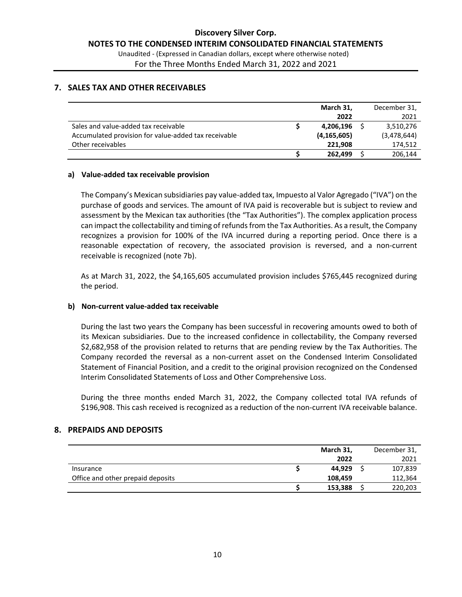#### **7. SALES TAX AND OTHER RECEIVABLES**

|                                                      | March 31,     | December 31, |
|------------------------------------------------------|---------------|--------------|
|                                                      | 2022          | 2021         |
| Sales and value-added tax receivable                 | 4,206,196     | 3,510,276    |
| Accumulated provision for value-added tax receivable | (4, 165, 605) | (3,478,644)  |
| Other receivables                                    | 221,908       | 174,512      |
|                                                      | 262,499       | 206.144      |

#### **a) Value-added tax receivable provision**

The Company's Mexican subsidiaries pay value-added tax, Impuesto al Valor Agregado ("IVA") on the purchase of goods and services. The amount of IVA paid is recoverable but is subject to review and assessment by the Mexican tax authorities (the "Tax Authorities"). The complex application process can impact the collectability and timing of refunds from the Tax Authorities. As a result, the Company recognizes a provision for 100% of the IVA incurred during a reporting period. Once there is a reasonable expectation of recovery, the associated provision is reversed, and a non-current receivable is recognized (note 7b).

As at March 31, 2022, the \$4,165,605 accumulated provision includes \$765,445 recognized during the period.

#### **b) Non-current value-added tax receivable**

During the last two years the Company has been successful in recovering amounts owed to both of its Mexican subsidiaries. Due to the increased confidence in collectability, the Company reversed \$2,682,958 of the provision related to returns that are pending review by the Tax Authorities. The Company recorded the reversal as a non-current asset on the Condensed Interim Consolidated Statement of Financial Position, and a credit to the original provision recognized on the Condensed Interim Consolidated Statements of Loss and Other Comprehensive Loss.

During the three months ended March 31, 2022, the Company collected total IVA refunds of \$196,908. This cash received is recognized as a reduction of the non-current IVA receivable balance.

#### **8. PREPAIDS AND DEPOSITS**

|                                   | March 31, |  | December 31, |
|-----------------------------------|-----------|--|--------------|
|                                   | 2022      |  | 2021         |
| Insurance                         | 44,929    |  | 107,839      |
| Office and other prepaid deposits | 108.459   |  | 112,364      |
|                                   | 153,388   |  | 220,203      |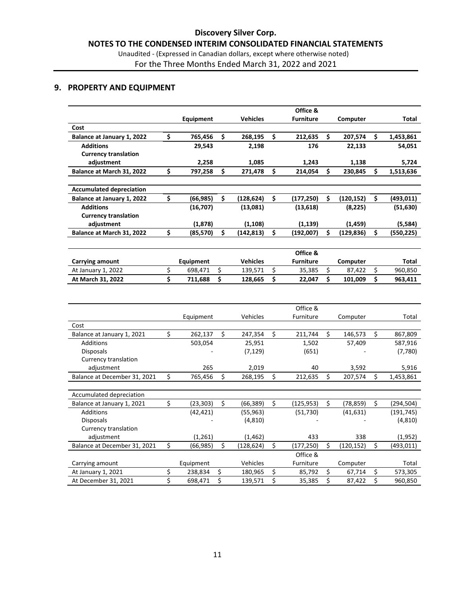# For the Three Months Ended March 31, 2022 and 2021

#### **9. PROPERTY AND EQUIPMENT**

|                                   |                 |                        |                 | Office &         |    |            |                  |
|-----------------------------------|-----------------|------------------------|-----------------|------------------|----|------------|------------------|
|                                   | Equipment       |                        | <b>Vehicles</b> | <b>Furniture</b> |    | Computer   | Total            |
| Cost                              |                 |                        |                 |                  |    |            |                  |
| Balance at January 1, 2022        | \$<br>765,456   | \$                     | 268,195         | \$<br>212,635    | \$ | 207,574    | \$<br>1,453,861  |
| <b>Additions</b>                  | 29,543          |                        | 2,198           | 176              |    | 22,133     | 54,051           |
| <b>Currency translation</b>       |                 |                        |                 |                  |    |            |                  |
| adjustment                        | 2,258           |                        | 1,085           | 1,243            |    | 1,138      | 5,724            |
| Balance at March 31, 2022         | \$<br>797,258   | \$                     | 271,478         | \$<br>214,054    | \$ | 230,845    | \$<br>1,513,636  |
|                                   |                 |                        |                 |                  |    |            |                  |
| <b>Accumulated depreciation</b>   |                 |                        |                 |                  |    |            |                  |
| <b>Balance at January 1, 2022</b> | \$<br>(66, 985) | \$                     | (128, 624)      | \$<br>(177, 250) | \$ | (120, 152) | \$<br>(493,011)  |
| <b>Additions</b>                  | (16, 707)       |                        | (13,081)        | (13, 618)        |    | (8, 225)   | (51, 630)        |
| <b>Currency translation</b>       |                 |                        |                 |                  |    |            |                  |
| adjustment                        | (1,878)         |                        | (1, 108)        | (1, 139)         |    | (1, 459)   | (5,584)          |
| Balance at March 31, 2022         | \$<br>(85, 570) | \$                     | (142, 813)      | \$<br>(192,007)  | Ś  | (129,836)  | \$<br>(550,225)  |
|                                   |                 |                        |                 |                  |    |            |                  |
|                                   |                 |                        |                 | Office &         |    |            |                  |
| Carrying amount                   | Equipment       |                        | <b>Vehicles</b> | <b>Furniture</b> |    | Computer   | Total            |
| At January 1, 2022                | \$<br>698,471   | \$                     | 139,571         | \$<br>35,385     | \$ | 87,422     | \$<br>960,850    |
| At March 31, 2022                 | \$<br>711,688   | \$                     | 128,665         | \$<br>22,047     | \$ | 101,009    | \$<br>963,411    |
|                                   |                 |                        |                 |                  |    |            |                  |
|                                   |                 |                        |                 |                  |    |            |                  |
|                                   |                 |                        |                 |                  |    |            |                  |
|                                   |                 |                        |                 | Office &         |    |            |                  |
|                                   | Equipment       |                        | Vehicles        | Furniture        |    | Computer   | Total            |
| Cost                              |                 |                        |                 |                  |    |            |                  |
| Balance at January 1, 2021        | \$<br>262,137   | \$                     | 247,354         | \$<br>211,744    | \$ | 146,573    | \$<br>867,809    |
| <b>Additions</b>                  | 503,054         |                        | 25,951          | 1,502            |    | 57,409     | 587,916          |
| <b>Disposals</b>                  |                 |                        | (7, 129)        | (651)            |    |            | (7,780)          |
| Currency translation              |                 |                        |                 |                  |    |            |                  |
| adjustment                        | 265             |                        | 2,019           | 40               |    | 3,592      | 5,916            |
| Balance at December 31, 2021      | \$<br>765,456   | \$                     | 268,195         | \$<br>212,635    | \$ | 207,574    | \$<br>1,453,861  |
|                                   |                 |                        |                 |                  |    |            |                  |
| Accumulated depreciation          |                 |                        |                 |                  |    |            |                  |
| Balance at January 1, 2021        | \$<br>(23, 303) | \$                     | (66, 389)       | \$<br>(125, 953) | \$ | (78, 859)  | \$<br>(294, 504) |
| Additions                         | (42, 421)       |                        | (55, 963)       | (51, 730)        |    | (41, 631)  | (191, 745)       |
| <b>Disposals</b>                  |                 |                        | (4, 810)        |                  |    |            | (4, 810)         |
| Currency translation              |                 |                        |                 |                  |    |            |                  |
| adjustment                        | (1, 261)        |                        | (1, 462)        | 433              |    | 338        | (1,952)          |
| Balance at December 31, 2021      | \$<br>(66, 985) | \$                     | (128, 624)      | \$<br>(177, 250) | \$ | (120, 152) | \$<br>(493,011)  |
|                                   |                 |                        |                 | Office &         |    |            |                  |
| Carrying amount                   | Equipment       |                        | Vehicles        | Furniture        |    | Computer   | Total            |
| At January 1, 2021                | \$<br>238,834   | \$<br>$\overline{\xi}$ | 180,965         | \$<br>85,792     | \$ | 67,714     | \$<br>573,305    |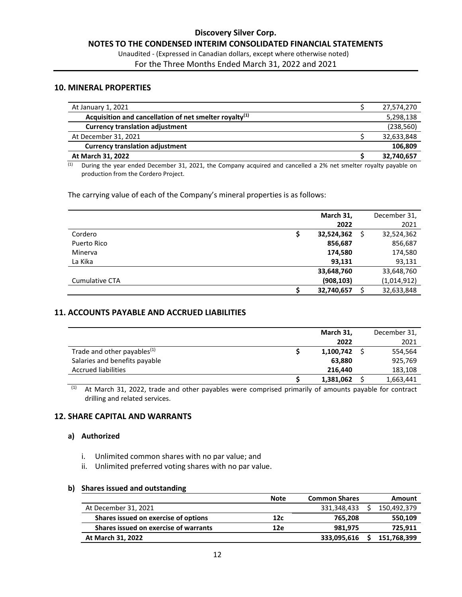Unaudited - (Expressed in Canadian dollars, except where otherwise noted) For the Three Months Ended March 31, 2022 and 2021

#### **10. MINERAL PROPERTIES**

| At January 1, 2021                                        | 27,574,270 |
|-----------------------------------------------------------|------------|
| Acquisition and cancellation of net smelter royalty $(1)$ | 5,298,138  |
| <b>Currency translation adjustment</b>                    | (238, 560) |
| At December 31, 2021                                      | 32,633,848 |
| <b>Currency translation adjustment</b>                    | 106,809    |
| At March 31, 2022                                         | 32,740,657 |
|                                                           |            |

 $\overline{1}$  During the year ended December 31, 2021, the Company acquired and cancelled a 2% net smelter royalty payable on production from the Cordero Project.

The carrying value of each of the Company's mineral properties is as follows:

|                       | March 31,  | December 31, |
|-----------------------|------------|--------------|
|                       | 2022       | 2021         |
| Cordero               | 32,524,362 | 32,524,362   |
| Puerto Rico           | 856,687    | 856,687      |
| Minerva               | 174,580    | 174,580      |
| La Kika               | 93,131     | 93,131       |
|                       | 33,648,760 | 33,648,760   |
| <b>Cumulative CTA</b> | (908, 103) | (1,014,912)  |
|                       | 32,740,657 | 32,633,848   |

#### **11. ACCOUNTS PAYABLE AND ACCRUED LIABILITIES**

|                                         | March 31, | December 31, |
|-----------------------------------------|-----------|--------------|
|                                         | 2022      | 2021         |
| Trade and other payables <sup>(1)</sup> | 1,100,742 | 554,564      |
| Salaries and benefits payable           | 63,880    | 925,769      |
| <b>Accrued liabilities</b>              | 216,440   | 183,108      |
|                                         | 1,381,062 | 1,663,441    |

 $\frac{(1)}{(1)}$  At March 31, 2022, trade and other payables were comprised primarily of amounts payable for contract drilling and related services.

#### **12. SHARE CAPITAL AND WARRANTS**

#### **a) Authorized**

- i. Unlimited common shares with no par value; and
- ii. Unlimited preferred voting shares with no par value.

#### **b) Shares issued and outstanding**

|                                       | <b>Note</b> | <b>Common Shares</b> | Amount      |
|---------------------------------------|-------------|----------------------|-------------|
| At December 31, 2021                  |             | 331,348,433          | 150,492,379 |
| Shares issued on exercise of options  | 12c         | 765.208              | 550,109     |
| Shares issued on exercise of warrants | 12e         | 981.975              | 725,911     |
| At March 31, 2022                     |             | 333,095,616          | 151,768,399 |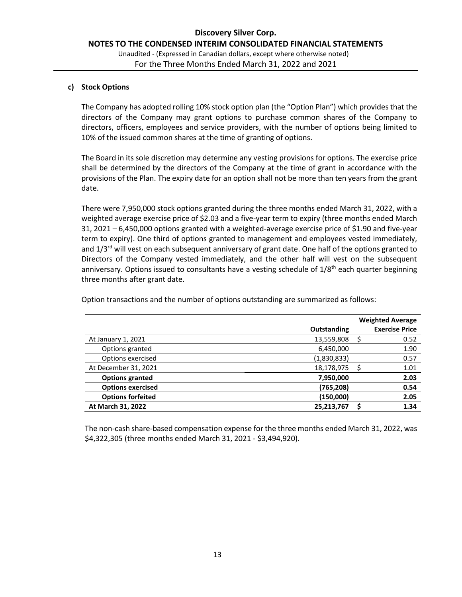#### **c) Stock Options**

The Company has adopted rolling 10% stock option plan (the "Option Plan") which provides that the directors of the Company may grant options to purchase common shares of the Company to directors, officers, employees and service providers, with the number of options being limited to 10% of the issued common shares at the time of granting of options.

The Board in its sole discretion may determine any vesting provisions for options. The exercise price shall be determined by the directors of the Company at the time of grant in accordance with the provisions of the Plan. The expiry date for an option shall not be more than ten years from the grant date.

There were 7,950,000 stock options granted during the three months ended March 31, 2022, with a weighted average exercise price of \$2.03 and a five-year term to expiry (three months ended March 31, 2021 – 6,450,000 options granted with a weighted-average exercise price of \$1.90 and five-year term to expiry). One third of options granted to management and employees vested immediately, and  $1/3^{rd}$  will vest on each subsequent anniversary of grant date. One half of the options granted to Directors of the Company vested immediately, and the other half will vest on the subsequent anniversary. Options issued to consultants have a vesting schedule of 1/8<sup>th</sup> each quarter beginning three months after grant date.

Option transactions and the number of options outstanding are summarized as follows:

|                          |             | <b>Weighted Average</b> |
|--------------------------|-------------|-------------------------|
|                          | Outstanding | <b>Exercise Price</b>   |
| At January 1, 2021       | 13,559,808  | 0.52                    |
| Options granted          | 6,450,000   | 1.90                    |
| Options exercised        | (1,830,833) | 0.57                    |
| At December 31, 2021     | 18,178,975  | 1.01                    |
| <b>Options granted</b>   | 7,950,000   | 2.03                    |
| <b>Options exercised</b> | (765,208)   | 0.54                    |
| <b>Options forfeited</b> | (150,000)   | 2.05                    |
| At March 31, 2022        | 25,213,767  | 1.34                    |
|                          |             |                         |

The non-cash share-based compensation expense for the three months ended March 31, 2022, was \$4,322,305 (three months ended March 31, 2021 - \$3,494,920).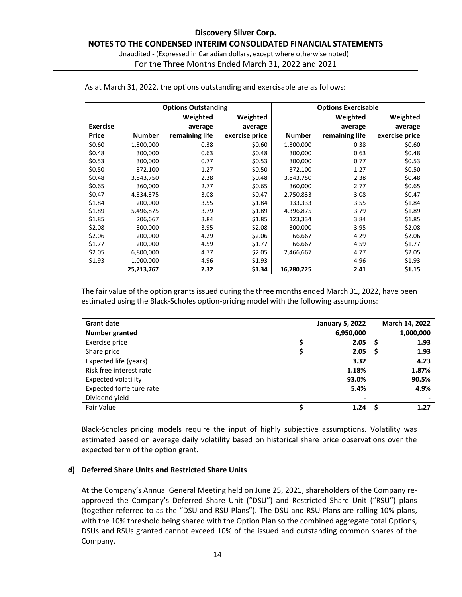#### **Discovery Silver Corp. NOTES TO THE CONDENSED INTERIM CONSOLIDATED FINANCIAL STATEMENTS** Unaudited - (Expressed in Canadian dollars, except where otherwise noted) For the Three Months Ended March 31, 2022 and 2021

|                 |               | <b>Options Outstanding</b> |                |               | <b>Options Exercisable</b> |                |
|-----------------|---------------|----------------------------|----------------|---------------|----------------------------|----------------|
|                 |               | Weighted                   | Weighted       |               | Weighted                   | Weighted       |
| <b>Exercise</b> |               | average                    | average        |               | average                    | average        |
| <b>Price</b>    | <b>Number</b> | remaining life             | exercise price | <b>Number</b> | remaining life             | exercise price |
| \$0.60          | 1,300,000     | 0.38                       | \$0.60         | 1,300,000     | 0.38                       | \$0.60         |
| \$0.48          | 300,000       | 0.63                       | \$0.48         | 300,000       | 0.63                       | \$0.48         |
| \$0.53          | 300,000       | 0.77                       | \$0.53         | 300,000       | 0.77                       | \$0.53         |
| \$0.50          | 372,100       | 1.27                       | \$0.50         | 372,100       | 1.27                       | \$0.50         |
| \$0.48          | 3,843,750     | 2.38                       | \$0.48         | 3,843,750     | 2.38                       | \$0.48         |
| \$0.65          | 360,000       | 2.77                       | \$0.65         | 360,000       | 2.77                       | \$0.65         |
| \$0.47          | 4,334,375     | 3.08                       | \$0.47         | 2,750,833     | 3.08                       | \$0.47         |
| \$1.84          | 200,000       | 3.55                       | \$1.84         | 133,333       | 3.55                       | \$1.84         |
| \$1.89          | 5,496,875     | 3.79                       | \$1.89         | 4,396,875     | 3.79                       | \$1.89         |
| \$1.85          | 206,667       | 3.84                       | \$1.85         | 123,334       | 3.84                       | \$1.85         |
| \$2.08          | 300,000       | 3.95                       | \$2.08         | 300,000       | 3.95                       | \$2.08         |
| \$2.06          | 200,000       | 4.29                       | \$2.06         | 66,667        | 4.29                       | \$2.06         |
| \$1.77          | 200,000       | 4.59                       | \$1.77         | 66,667        | 4.59                       | \$1.77         |
| \$2.05          | 6,800,000     | 4.77                       | \$2.05         | 2,466,667     | 4.77                       | \$2.05         |
| \$1.93          | 1,000,000     | 4.96                       | \$1.93         |               | 4.96                       | \$1.93         |
|                 | 25,213,767    | 2.32                       | \$1.34         | 16,780,225    | 2.41                       | \$1.15         |

As at March 31, 2022, the options outstanding and exercisable are as follows:

The fair value of the option grants issued during the three months ended March 31, 2022, have been estimated using the Black-Scholes option-pricing model with the following assumptions:

| <b>Grant date</b>               | <b>January 5, 2022</b> |    | March 14, 2022 |
|---------------------------------|------------------------|----|----------------|
| Number granted                  | 6,950,000              |    | 1,000,000      |
| Exercise price                  | 2.05                   | .S | 1.93           |
| Share price                     | 2.05                   | S  | 1.93           |
| Expected life (years)           | 3.32                   |    | 4.23           |
| Risk free interest rate         | 1.18%                  |    | 1.87%          |
| <b>Expected volatility</b>      | 93.0%                  |    | 90.5%          |
| <b>Expected forfeiture rate</b> | 5.4%                   |    | 4.9%           |
| Dividend yield                  |                        |    |                |
| Fair Value                      | 1.24                   |    | 1.27           |

Black-Scholes pricing models require the input of highly subjective assumptions. Volatility was estimated based on average daily volatility based on historical share price observations over the expected term of the option grant.

#### **d) Deferred Share Units and Restricted Share Units**

At the Company's Annual General Meeting held on June 25, 2021, shareholders of the Company reapproved the Company's Deferred Share Unit ("DSU") and Restricted Share Unit ("RSU") plans (together referred to as the "DSU and RSU Plans"). The DSU and RSU Plans are rolling 10% plans, with the 10% threshold being shared with the Option Plan so the combined aggregate total Options, DSUs and RSUs granted cannot exceed 10% of the issued and outstanding common shares of the Company.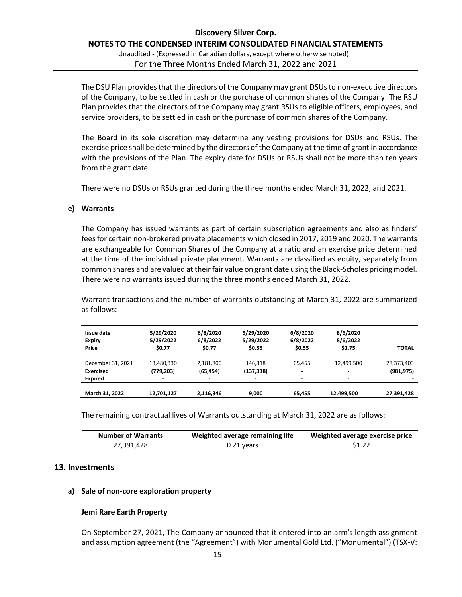Unaudited - (Expressed in Canadian dollars, except where otherwise noted) For the Three Months Ended March 31, 2022 and 2021

The DSU Plan provides that the directors of the Company may grant DSUs to non-executive directors of the Company, to be settled in cash or the purchase of common shares of the Company. The RSU Plan provides that the directors of the Company may grant RSUs to eligible officers, employees, and service providers, to be settled in cash or the purchase of common shares of the Company.

The Board in its sole discretion may determine any vesting provisions for DSUs and RSUs. The exercise price shall be determined by the directors of the Company at the time of grant in accordance with the provisions of the Plan. The expiry date for DSUs or RSUs shall not be more than ten years from the grant date.

There were no DSUs or RSUs granted during the three months ended March 31, 2022, and 2021.

#### **e) Warrants**

The Company has issued warrants as part of certain subscription agreements and also as finders' fees for certain non-brokered private placements which closed in 2017, 2019 and 2020. The warrants are exchangeable for Common Shares of the Company at a ratio and an exercise price determined at the time of the individual private placement. Warrants are classified as equity, separately from common shares and are valued at their fair value on grant date using the Black-Scholes pricing model. There were no warrants issued during the three months ended March 31, 2022.

Warrant transactions and the number of warrants outstanding at March 31, 2022 are summarized as follows:

| Issue date        | 5/29/2020  | 6/8/2020  | 5/29/2020  | 6/8/2020                 | 8/6/2020       | <b>TOTAL</b> |
|-------------------|------------|-----------|------------|--------------------------|----------------|--------------|
| <b>Expiry</b>     | 5/29/2022  | 6/8/2022  | 5/29/2022  | 6/8/2022                 | 8/6/2022       |              |
| Price             | \$0.77     | \$0.77    | \$0.55     | \$0.55                   | \$1.75         |              |
| December 31, 2021 | 13,480,330 | 2,181,800 | 146.318    | 65.455                   | 12,499,500     | 28,373,403   |
| <b>Exercised</b>  | (779, 203) | (65, 454) | (137, 318) | $\overline{\phantom{0}}$ | $\blacksquare$ | (981, 975)   |
| <b>Expired</b>    |            | $\,$      | -          | $\overline{\phantom{0}}$ | -              |              |
| March 31, 2022    | 12.701.127 | 2.116.346 | 9.000      | 65.455                   | 12,499,500     | 27,391,428   |

The remaining contractual lives of Warrants outstanding at March 31, 2022 are as follows:

| <b>Number of Warrants</b> | Weighted average remaining life | Weighted average exercise price |
|---------------------------|---------------------------------|---------------------------------|
| 27,391,428                | $0.21$ years                    | \$1.22                          |

#### **13. Investments**

#### **a) Sale of non-core exploration property**

#### **Jemi Rare Earth Property**

On September 27, 2021, The Company announced that it entered into an arm's length assignment and assumption agreement (the "Agreement") with Monumental Gold Ltd. ("Monumental") (TSX-V: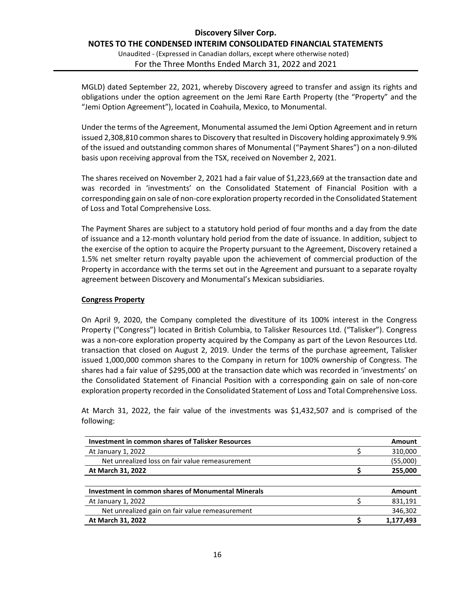#### **Discovery Silver Corp. NOTES TO THE CONDENSED INTERIM CONSOLIDATED FINANCIAL STATEMENTS** Unaudited - (Expressed in Canadian dollars, except where otherwise noted)

For the Three Months Ended March 31, 2022 and 2021

MGLD) dated September 22, 2021, whereby Discovery agreed to transfer and assign its rights and obligations under the option agreement on the Jemi Rare Earth Property (the "Property" and the "Jemi Option Agreement"), located in Coahuila, Mexico, to Monumental.

Under the terms of the Agreement, Monumental assumed the Jemi Option Agreement and in return issued 2,308,810 common shares to Discovery that resulted in Discovery holding approximately 9.9% of the issued and outstanding common shares of Monumental ("Payment Shares") on a non-diluted basis upon receiving approval from the TSX, received on November 2, 2021.

The shares received on November 2, 2021 had a fair value of \$1,223,669 at the transaction date and was recorded in 'investments' on the Consolidated Statement of Financial Position with a corresponding gain on sale of non-core exploration property recorded in the Consolidated Statement of Loss and Total Comprehensive Loss.

The Payment Shares are subject to a statutory hold period of four months and a day from the date of issuance and a 12-month voluntary hold period from the date of issuance. In addition, subject to the exercise of the option to acquire the Property pursuant to the Agreement, Discovery retained a 1.5% net smelter return royalty payable upon the achievement of commercial production of the Property in accordance with the terms set out in the Agreement and pursuant to a separate royalty agreement between Discovery and Monumental's Mexican subsidiaries.

#### **Congress Property**

On April 9, 2020, the Company completed the divestiture of its 100% interest in the Congress Property ("Congress") located in British Columbia, to Talisker Resources Ltd. ("Talisker"). Congress was a non-core exploration property acquired by the Company as part of the Levon Resources Ltd. transaction that closed on August 2, 2019. Under the terms of the purchase agreement, Talisker issued 1,000,000 common shares to the Company in return for 100% ownership of Congress. The shares had a fair value of \$295,000 at the transaction date which was recorded in 'investments' on the Consolidated Statement of Financial Position with a corresponding gain on sale of non-core exploration property recorded in the Consolidated Statement of Loss and Total Comprehensive Loss.

At March 31, 2022, the fair value of the investments was \$1,432,507 and is comprised of the following:

| <b>Investment in common shares of Talisker Resources</b>  | Amount        |
|-----------------------------------------------------------|---------------|
| At January 1, 2022                                        | 310,000       |
| Net unrealized loss on fair value remeasurement           | (55,000)      |
| At March 31, 2022                                         | 255,000       |
|                                                           |               |
| <b>Investment in common shares of Monumental Minerals</b> | <b>Amount</b> |
| At January 1, 2022                                        | 831,191       |
| Net unrealized gain on fair value remeasurement           | 346,302       |
| At March 31, 2022                                         | 1,177,493     |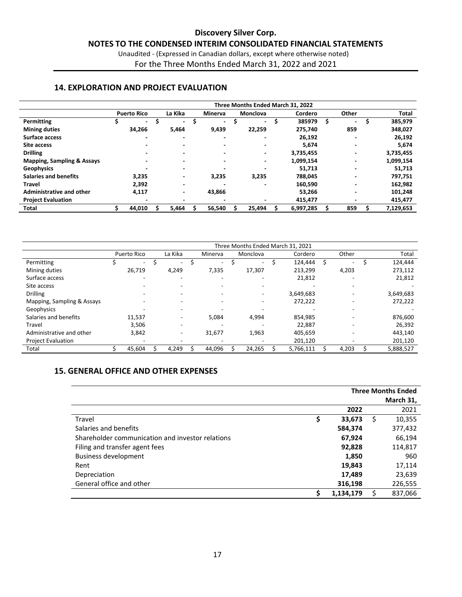Unaudited - (Expressed in Canadian dollars, except where otherwise noted) For the Three Months Ended March 31, 2022 and 2021

#### **14. EXPLORATION AND PROJECT EVALUATION**

|                                       | Three Months Ended March 31, 2022 |                          |  |                          |   |                          |   |                          |  |           |    |                          |              |
|---------------------------------------|-----------------------------------|--------------------------|--|--------------------------|---|--------------------------|---|--------------------------|--|-----------|----|--------------------------|--------------|
|                                       |                                   | <b>Puerto Rico</b>       |  | La Kika                  |   | <b>Minerva</b>           |   | <b>Monclova</b>          |  | Cordero   |    | Other                    | <b>Total</b> |
| Permitting                            |                                   | $\overline{\phantom{0}}$ |  | $\overline{\phantom{0}}$ | s | $\blacksquare$           | S | $\blacksquare$           |  | 385979    | Ŝ. | $\overline{\phantom{a}}$ | 385,979      |
| <b>Mining duties</b>                  |                                   | 34,266                   |  | 5,464                    |   | 9,439                    |   | 22,259                   |  | 275,740   |    | 859                      | 348,027      |
| Surface access                        |                                   |                          |  |                          |   | $\overline{\phantom{0}}$ |   | ۰                        |  | 26,192    |    | $\overline{\phantom{0}}$ | 26,192       |
| Site access                           |                                   |                          |  |                          |   | $\overline{\phantom{0}}$ |   | $\overline{\phantom{0}}$ |  | 5.674     |    | $\overline{\phantom{0}}$ | 5,674        |
| <b>Drilling</b>                       |                                   |                          |  | $\overline{\phantom{a}}$ |   | ۰                        |   | ٠                        |  | 3,735,455 |    | $\overline{\phantom{0}}$ | 3,735,455    |
| <b>Mapping, Sampling &amp; Assays</b> |                                   |                          |  |                          |   | -                        |   | ۰                        |  | 1,099,154 |    |                          | 1,099,154    |
| <b>Geophysics</b>                     |                                   |                          |  | $\overline{\phantom{a}}$ |   |                          |   | ۰                        |  | 51,713    |    | $\overline{\phantom{0}}$ | 51,713       |
| <b>Salaries and benefits</b>          |                                   | 3,235                    |  | $\overline{\phantom{a}}$ |   | 3,235                    |   | 3,235                    |  | 788,045   |    | $\overline{\phantom{0}}$ | 797,751      |
| Travel                                |                                   | 2,392                    |  | -                        |   |                          |   |                          |  | 160,590   |    | -                        | 162,982      |
| Administrative and other              |                                   | 4,117                    |  | ۰                        |   | 43,866                   |   |                          |  | 53,266    |    | $\overline{\phantom{0}}$ | 101,248      |
| <b>Project Evaluation</b>             |                                   |                          |  |                          |   |                          |   |                          |  | 415,477   |    |                          | 415,477      |
| <b>Total</b>                          |                                   | 44,010                   |  | 5.464                    |   | 56,540                   |   | 25,494                   |  | 6,997,285 |    | 859                      | 7,129,653    |

|                            | Three Months Ended March 31, 2021 |  |                          |  |         |  |          |  |           |  |                          |           |
|----------------------------|-----------------------------------|--|--------------------------|--|---------|--|----------|--|-----------|--|--------------------------|-----------|
|                            | Puerto Rico                       |  | La Kika                  |  | Minerva |  | Monclova |  | Cordero   |  | Other                    | Total     |
| Permitting                 | $\overline{\phantom{a}}$          |  | $\blacksquare$           |  |         |  | $\sim$   |  | 124.444   |  | $\overline{\phantom{a}}$ | 124,444   |
| Mining duties              | 26,719                            |  | 4,249                    |  | 7,335   |  | 17,307   |  | 213,299   |  | 4,203                    | 273,112   |
| Surface access             | $\overline{\phantom{a}}$          |  | $\overline{\phantom{a}}$ |  |         |  | ۰        |  | 21,812    |  | $\overline{\phantom{a}}$ | 21,812    |
| Site access                |                                   |  |                          |  |         |  | -        |  |           |  |                          |           |
| <b>Drilling</b>            |                                   |  |                          |  |         |  | ۰        |  | 3,649,683 |  | $\overline{\phantom{a}}$ | 3,649,683 |
| Mapping, Sampling & Assays |                                   |  |                          |  |         |  | -        |  | 272,222   |  |                          | 272,222   |
| Geophysics                 |                                   |  |                          |  |         |  |          |  |           |  |                          |           |
| Salaries and benefits      | 11,537                            |  |                          |  | 5,084   |  | 4,994    |  | 854,985   |  |                          | 876,600   |
| Travel                     | 3.506                             |  |                          |  |         |  |          |  | 22.887    |  | $\overline{\phantom{a}}$ | 26,392    |
| Administrative and other   | 3,842                             |  | ۰                        |  | 31,677  |  | 1,963    |  | 405,659   |  |                          | 443,140   |
| <b>Project Evaluation</b>  |                                   |  |                          |  |         |  |          |  | 201,120   |  |                          | 201,120   |
| Total                      | 45,604                            |  | 4,249                    |  | 44,096  |  | 24,265   |  | 5,766,111 |  | 4,203                    | 5,888,527 |

#### **15. GENERAL OFFICE AND OTHER EXPENSES**

|                                                  | <b>Three Months Ended</b> |   |           |  |  |
|--------------------------------------------------|---------------------------|---|-----------|--|--|
|                                                  |                           |   | March 31, |  |  |
|                                                  | 2022                      |   | 2021      |  |  |
| Travel                                           | \$<br>33,673              | S | 10,355    |  |  |
| Salaries and benefits                            | 584,374                   |   | 377,432   |  |  |
| Shareholder communication and investor relations | 67,924                    |   | 66,194    |  |  |
| Filing and transfer agent fees                   | 92,828                    |   | 114,817   |  |  |
| <b>Business development</b>                      | 1,850                     |   | 960       |  |  |
| Rent                                             | 19,843                    |   | 17,114    |  |  |
| Depreciation                                     | 17,489                    |   | 23,639    |  |  |
| General office and other                         | 316,198                   |   | 226,555   |  |  |
|                                                  | 1,134,179                 |   | 837,066   |  |  |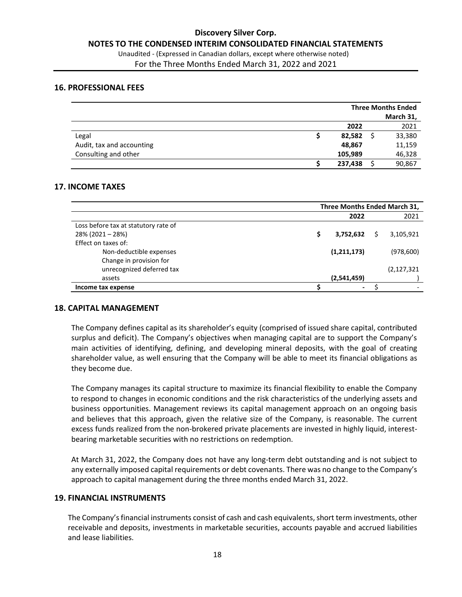For the Three Months Ended March 31, 2022 and 2021

#### **16. PROFESSIONAL FEES**

|                           |         | <b>Three Months Ended</b> |           |  |  |
|---------------------------|---------|---------------------------|-----------|--|--|
|                           |         |                           | March 31, |  |  |
|                           | 2022    |                           | 2021      |  |  |
| Legal                     | 82,582  |                           | 33,380    |  |  |
| Audit, tax and accounting | 48,867  |                           | 11,159    |  |  |
| Consulting and other      | 105,989 |                           | 46,328    |  |  |
|                           | 237,438 |                           | 90,867    |  |  |

#### **17. INCOME TAXES**

|                                      | Three Months Ended March 31, |                          |  |               |
|--------------------------------------|------------------------------|--------------------------|--|---------------|
|                                      |                              | 2022                     |  | 2021          |
| Loss before tax at statutory rate of |                              |                          |  |               |
| $28\%$ (2021 - 28%)                  |                              | 3,752,632                |  | 3,105,921     |
| Effect on taxes of:                  |                              |                          |  |               |
| Non-deductible expenses              |                              | (1,211,173)              |  | (978, 600)    |
| Change in provision for              |                              |                          |  |               |
| unrecognized deferred tax            |                              |                          |  | (2, 127, 321) |
| assets                               |                              | (2,541,459)              |  |               |
| Income tax expense                   |                              | $\overline{\phantom{0}}$ |  |               |

#### **18. CAPITAL MANAGEMENT**

The Company defines capital as its shareholder's equity (comprised of issued share capital, contributed surplus and deficit). The Company's objectives when managing capital are to support the Company's main activities of identifying, defining, and developing mineral deposits, with the goal of creating shareholder value, as well ensuring that the Company will be able to meet its financial obligations as they become due.

The Company manages its capital structure to maximize its financial flexibility to enable the Company to respond to changes in economic conditions and the risk characteristics of the underlying assets and business opportunities. Management reviews its capital management approach on an ongoing basis and believes that this approach, given the relative size of the Company, is reasonable. The current excess funds realized from the non-brokered private placements are invested in highly liquid, interestbearing marketable securities with no restrictions on redemption.

At March 31, 2022, the Company does not have any long-term debt outstanding and is not subject to any externally imposed capital requirements or debt covenants. There was no change to the Company's approach to capital management during the three months ended March 31, 2022.

#### **19. FINANCIAL INSTRUMENTS**

The Company's financial instruments consist of cash and cash equivalents, short term investments, other receivable and deposits, investments in marketable securities, accounts payable and accrued liabilities and lease liabilities.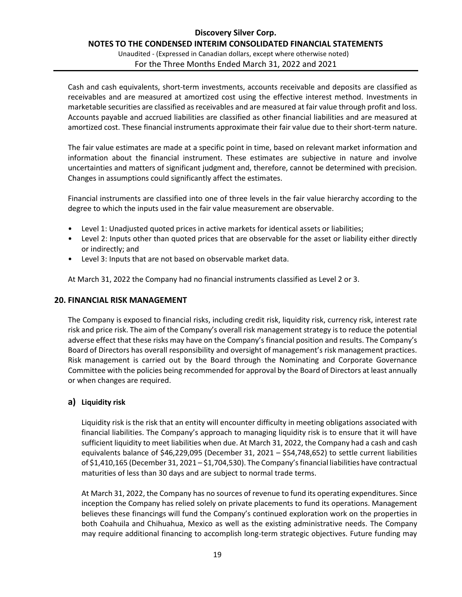Unaudited - (Expressed in Canadian dollars, except where otherwise noted) For the Three Months Ended March 31, 2022 and 2021

Cash and cash equivalents, short-term investments, accounts receivable and deposits are classified as receivables and are measured at amortized cost using the effective interest method. Investments in marketable securities are classified as receivables and are measured at fair value through profit and loss. Accounts payable and accrued liabilities are classified as other financial liabilities and are measured at amortized cost. These financial instruments approximate their fair value due to their short-term nature.

The fair value estimates are made at a specific point in time, based on relevant market information and information about the financial instrument. These estimates are subjective in nature and involve uncertainties and matters of significant judgment and, therefore, cannot be determined with precision. Changes in assumptions could significantly affect the estimates.

Financial instruments are classified into one of three levels in the fair value hierarchy according to the degree to which the inputs used in the fair value measurement are observable.

- Level 1: Unadjusted quoted prices in active markets for identical assets or liabilities;
- Level 2: Inputs other than quoted prices that are observable for the asset or liability either directly or indirectly; and
- Level 3: Inputs that are not based on observable market data.

At March 31, 2022 the Company had no financial instruments classified as Level 2 or 3.

#### **20. FINANCIAL RISK MANAGEMENT**

The Company is exposed to financial risks, including credit risk, liquidity risk, currency risk, interest rate risk and price risk. The aim of the Company's overall risk management strategy is to reduce the potential adverse effect that these risks may have on the Company's financial position and results. The Company's Board of Directors has overall responsibility and oversight of management's risk management practices. Risk management is carried out by the Board through the Nominating and Corporate Governance Committee with the policies being recommended for approval by the Board of Directors at least annually or when changes are required.

#### **a) Liquidity risk**

Liquidity risk is the risk that an entity will encounter difficulty in meeting obligations associated with financial liabilities. The Company's approach to managing liquidity risk is to ensure that it will have sufficient liquidity to meet liabilities when due. At March 31, 2022, the Company had a cash and cash equivalents balance of \$46,229,095 (December 31, 2021 – \$54,748,652) to settle current liabilities of \$1,410,165 (December 31, 2021 – \$1,704,530). The Company's financial liabilities have contractual maturities of less than 30 days and are subject to normal trade terms.

At March 31, 2022, the Company has no sources of revenue to fund its operating expenditures. Since inception the Company has relied solely on private placements to fund its operations. Management believes these financings will fund the Company's continued exploration work on the properties in both Coahuila and Chihuahua, Mexico as well as the existing administrative needs. The Company may require additional financing to accomplish long-term strategic objectives. Future funding may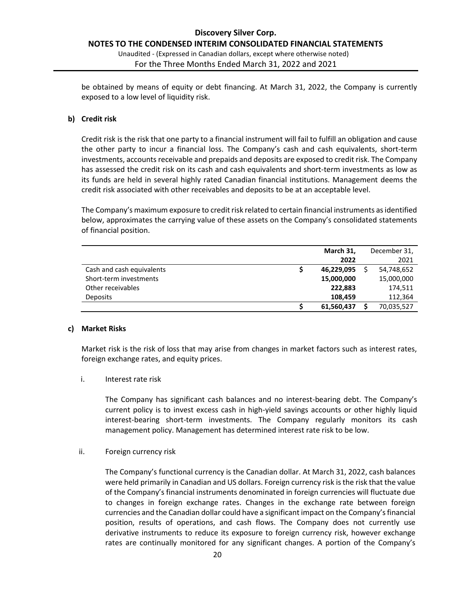#### **Discovery Silver Corp. NOTES TO THE CONDENSED INTERIM CONSOLIDATED FINANCIAL STATEMENTS** Unaudited - (Expressed in Canadian dollars, except where otherwise noted) For the Three Months Ended March 31, 2022 and 2021

be obtained by means of equity or debt financing. At March 31, 2022, the Company is currently exposed to a low level of liquidity risk.

#### **b) Credit risk**

Credit risk is the risk that one party to a financial instrument will fail to fulfill an obligation and cause the other party to incur a financial loss. The Company's cash and cash equivalents, short-term investments, accounts receivable and prepaids and deposits are exposed to credit risk. The Company has assessed the credit risk on its cash and cash equivalents and short-term investments as low as its funds are held in several highly rated Canadian financial institutions. Management deems the credit risk associated with other receivables and deposits to be at an acceptable level.

The Company's maximum exposure to credit risk related to certain financial instruments as identified below, approximates the carrying value of these assets on the Company's consolidated statements of financial position.

|                           | March 31,  | December 31, |
|---------------------------|------------|--------------|
|                           | 2022       | 2021         |
| Cash and cash equivalents | 46,229,095 | 54,748,652   |
| Short-term investments    | 15,000,000 | 15,000,000   |
| Other receivables         | 222.883    | 174,511      |
| <b>Deposits</b>           | 108.459    | 112,364      |
|                           | 61,560,437 | 70,035,527   |

#### **c) Market Risks**

Market risk is the risk of loss that may arise from changes in market factors such as interest rates, foreign exchange rates, and equity prices.

i. Interest rate risk

The Company has significant cash balances and no interest-bearing debt. The Company's current policy is to invest excess cash in high-yield savings accounts or other highly liquid interest-bearing short-term investments. The Company regularly monitors its cash management policy. Management has determined interest rate risk to be low.

ii. Foreign currency risk

The Company's functional currency is the Canadian dollar. At March 31, 2022, cash balances were held primarily in Canadian and US dollars. Foreign currency risk is the risk that the value of the Company's financial instruments denominated in foreign currencies will fluctuate due to changes in foreign exchange rates. Changes in the exchange rate between foreign currencies and the Canadian dollar could have a significant impact on the Company's financial position, results of operations, and cash flows. The Company does not currently use derivative instruments to reduce its exposure to foreign currency risk, however exchange rates are continually monitored for any significant changes. A portion of the Company's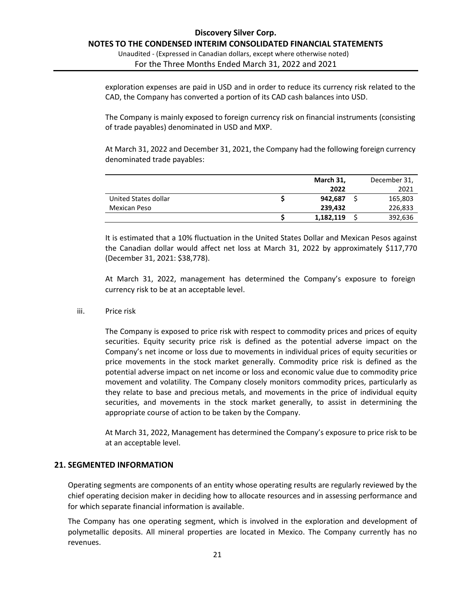Unaudited - (Expressed in Canadian dollars, except where otherwise noted) For the Three Months Ended March 31, 2022 and 2021

exploration expenses are paid in USD and in order to reduce its currency risk related to the CAD, the Company has converted a portion of its CAD cash balances into USD.

The Company is mainly exposed to foreign currency risk on financial instruments (consisting of trade payables) denominated in USD and MXP.

At March 31, 2022 and December 31, 2021, the Company had the following foreign currency denominated trade payables:

|                      | March 31, | December 31, |
|----------------------|-----------|--------------|
|                      | 2022      | 2021         |
| United States dollar | 942,687   | 165,803      |
| Mexican Peso         | 239,432   | 226,833      |
|                      | 1,182,119 | 392,636      |

It is estimated that a 10% fluctuation in the United States Dollar and Mexican Pesos against the Canadian dollar would affect net loss at March 31, 2022 by approximately \$117,770 (December 31, 2021: \$38,778).

At March 31, 2022, management has determined the Company's exposure to foreign currency risk to be at an acceptable level.

iii. Price risk

The Company is exposed to price risk with respect to commodity prices and prices of equity securities. Equity security price risk is defined as the potential adverse impact on the Company's net income or loss due to movements in individual prices of equity securities or price movements in the stock market generally. Commodity price risk is defined as the potential adverse impact on net income or loss and economic value due to commodity price movement and volatility. The Company closely monitors commodity prices, particularly as they relate to base and precious metals, and movements in the price of individual equity securities, and movements in the stock market generally, to assist in determining the appropriate course of action to be taken by the Company.

At March 31, 2022, Management has determined the Company's exposure to price risk to be at an acceptable level.

#### **21. SEGMENTED INFORMATION**

Operating segments are components of an entity whose operating results are regularly reviewed by the chief operating decision maker in deciding how to allocate resources and in assessing performance and for which separate financial information is available.

The Company has one operating segment, which is involved in the exploration and development of polymetallic deposits. All mineral properties are located in Mexico. The Company currently has no revenues.